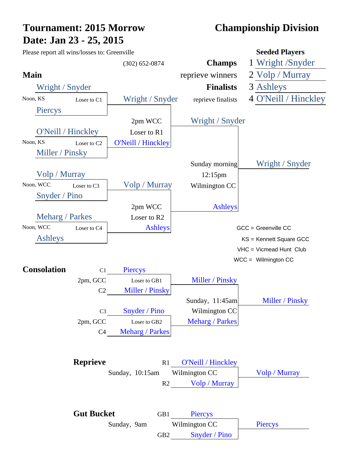# **Tournament: 2015 Morrow Championship Division Date: Jan 23 - 25, 2015**

| Please report all wins/losses to: Greenville |                         |                               |                        | <b>Seeded Players</b>   |
|----------------------------------------------|-------------------------|-------------------------------|------------------------|-------------------------|
|                                              |                         | $(302) 652 - 0874$            | <b>Champs</b>          | 1 Wright /Snyder        |
| <b>Main</b>                                  |                         |                               | reprieve winners       | 2 Volp / Murray         |
| Wright / Snyder                              |                         |                               | <b>Finalists</b>       | 3 Ashleys               |
| Noon, KS                                     | Loser to C1             | Wright / Snyder               | reprieve finalists     | 4 O'Neill / Hinckley    |
| Piercys                                      |                         |                               |                        |                         |
|                                              |                         | 2pm WCC                       | Wright / Snyder        |                         |
| O'Neill / Hinckley                           |                         | Loser to R1                   |                        |                         |
| Noon, KS                                     | Loser to C <sub>2</sub> | <b>O'Neill / Hinckley</b>     |                        |                         |
| Miller / Pinsky                              |                         |                               |                        |                         |
|                                              |                         |                               | Sunday morning         | Wright / Snyder         |
| Volp / Murray                                |                         |                               | $12:15$ pm             |                         |
| Noon, WCC                                    | Loser to C <sub>3</sub> | Volp / Murray                 | Wilmington CC          |                         |
| Snyder / Pino                                |                         |                               |                        |                         |
|                                              |                         | 2pm WCC                       | <b>Ashleys</b>         |                         |
| Meharg / Parkes                              |                         | Loser to R2                   |                        |                         |
| Noon, WCC                                    | Loser to C4             | <b>Ashleys</b>                |                        | GCC = Greenville CC     |
| <b>Ashleys</b>                               |                         |                               |                        | KS = Kennett Square GCC |
|                                              |                         |                               |                        | VHC = Vicmead Hunt Club |
| <b>Consolation</b>                           | C1                      | <b>Piercys</b>                |                        | $WCC =$ Wilmington CC   |
|                                              | 2pm, GCC                | Loser to GB1                  | Miller / Pinsky        |                         |
|                                              | C <sub>2</sub>          | Miller / Pinsky               |                        |                         |
|                                              |                         |                               | Sunday, 11:45am        | Miller / Pinsky         |
|                                              | C <sub>3</sub>          | Snyder / Pino                 | Wilmington CC          |                         |
|                                              | 2pm, GCC                | Loser to GB2                  | <b>Meharg / Parkes</b> |                         |
|                                              | C4                      | <b>Meharg / Parkes</b>        |                        |                         |
|                                              |                         |                               |                        |                         |
|                                              |                         |                               |                        |                         |
|                                              | <b>Reprieve</b>         | R1                            | O'Neill / Hinckley     |                         |
|                                              |                         | Sunday, 10:15am Wilmington CC |                        | Volp / Murray           |
|                                              |                         |                               | R2 Volp / Murray       |                         |
|                                              |                         |                               |                        |                         |
|                                              | <b>Gut Bucket</b>       | GB1                           | Piercys                |                         |
|                                              |                         | Sunday, 9am                   | Wilmington CC          | Piercys                 |
|                                              |                         |                               | GB2 Snyder / Pino      |                         |
|                                              |                         |                               |                        |                         |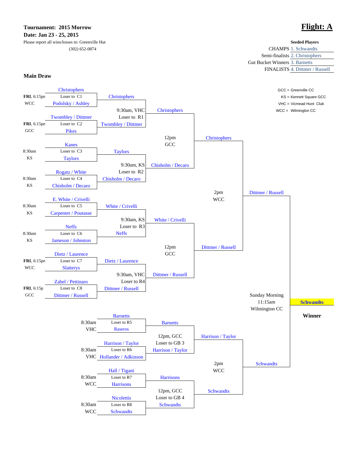### **Tournament: 2015 Morrow Flight: A Date: Jan 23 - 25, 2015**

### Please report all wins/losses to: Greenville Hut  $(302) 652 - 0874$

|                                       | <b>Seeded Players</b>          |
|---------------------------------------|--------------------------------|
|                                       | <b>CHAMPS 1. Schwandts</b>     |
|                                       | Semi-finalists 2. Christophers |
| <b>Gut Bucket Winners 3. Barnetts</b> |                                |
|                                       | FINALISTS 4. Dittmer / Russell |
|                                       |                                |

**Main Draw**

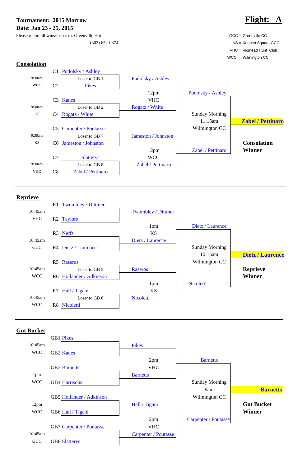**Tournament: 2015 Morrow Flight:**  $\blacksquare$ **Date: Jan 23 - 25, 2015**

Please report all wins/losses to: Greenville Hut GCC = Greenville CC Greenville CC

(302) 652-0874 KS = Kennett Square GCC VHC = Vicmead Hunt Club WCC = Wilmington CC

### **Consolation**



### **Reprieve**



### **Gut Bucket**

GB1 Pikes

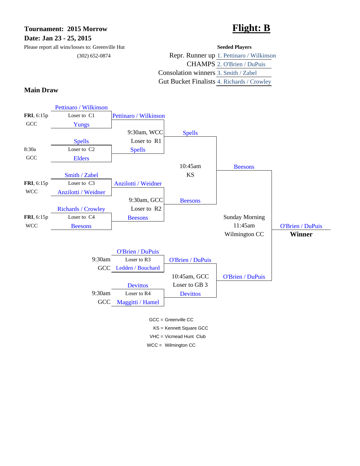## **Tournament: 2015 Morrow Flight: B Date: Jan 23 - 25, 2015**

Please report all wins/losses to: Greenville Hut **Seeded Players**

(302) 652-0874 Repr. Runner up 1. Pettinaro / Wilkinson CHAMPS 2. O'Brien / DuPuis Consolation winners 3. Smith / Zabel Gut Bucket Finalists 4. Richards / Crowley

### **Main Draw**



VHC = Vicmead Hunt Club

WCC = Wilmington CC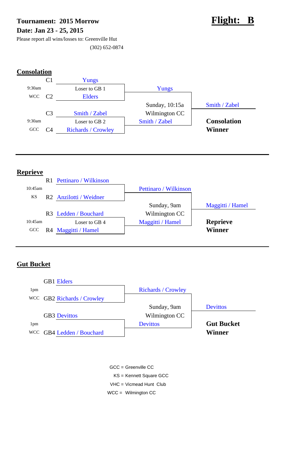# Tournament: 2015 Morrow **Flight: B Date: Jan 23 - 25, 2015**



Please report all wins/losses to: Greenville Hut (302) 652-0874

# **Consolation**



## **Reprieve**



## **Gut Bucket**



- GCC = Greenville CC
	- KS = Kennett Square GCC
- VHC = Vicmead Hunt Club
- WCC = Wilmington CC